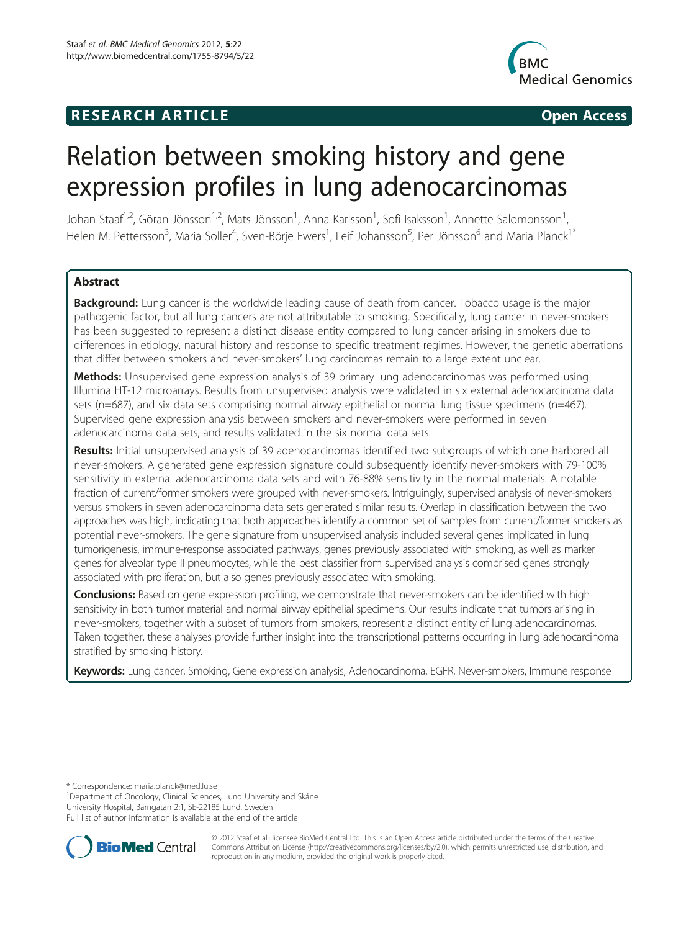## **RESEARCH ARTICLE Example 2014 12:30 The SEAR CHA RESEARCH ARTICLE**



# Relation between smoking history and gene expression profiles in lung adenocarcinomas

Johan Staaf<sup>1,2</sup>, Göran Jönsson<sup>1,2</sup>, Mats Jönsson<sup>1</sup>, Anna Karlsson<sup>1</sup>, Sofi Isaksson<sup>1</sup>, Annette Salomonsson<sup>1</sup> , Helen M. Pettersson<sup>3</sup>, Maria Soller<sup>4</sup>, Sven-Börje Ewers<sup>1</sup>, Leif Johansson<sup>5</sup>, Per Jönsson<sup>6</sup> and Maria Planck<sup>1\*</sup>

## Abstract

**Background:** Lung cancer is the worldwide leading cause of death from cancer. Tobacco usage is the major pathogenic factor, but all lung cancers are not attributable to smoking. Specifically, lung cancer in never-smokers has been suggested to represent a distinct disease entity compared to lung cancer arising in smokers due to differences in etiology, natural history and response to specific treatment regimes. However, the genetic aberrations that differ between smokers and never-smokers' lung carcinomas remain to a large extent unclear.

Methods: Unsupervised gene expression analysis of 39 primary lung adenocarcinomas was performed using Illumina HT-12 microarrays. Results from unsupervised analysis were validated in six external adenocarcinoma data sets (n=687), and six data sets comprising normal airway epithelial or normal lung tissue specimens (n=467). Supervised gene expression analysis between smokers and never-smokers were performed in seven adenocarcinoma data sets, and results validated in the six normal data sets.

Results: Initial unsupervised analysis of 39 adenocarcinomas identified two subgroups of which one harbored all never-smokers. A generated gene expression signature could subsequently identify never-smokers with 79-100% sensitivity in external adenocarcinoma data sets and with 76-88% sensitivity in the normal materials. A notable fraction of current/former smokers were grouped with never-smokers. Intriguingly, supervised analysis of never-smokers versus smokers in seven adenocarcinoma data sets generated similar results. Overlap in classification between the two approaches was high, indicating that both approaches identify a common set of samples from current/former smokers as potential never-smokers. The gene signature from unsupervised analysis included several genes implicated in lung tumorigenesis, immune-response associated pathways, genes previously associated with smoking, as well as marker genes for alveolar type II pneumocytes, while the best classifier from supervised analysis comprised genes strongly associated with proliferation, but also genes previously associated with smoking.

Conclusions: Based on gene expression profiling, we demonstrate that never-smokers can be identified with high sensitivity in both tumor material and normal airway epithelial specimens. Our results indicate that tumors arising in never-smokers, together with a subset of tumors from smokers, represent a distinct entity of lung adenocarcinomas. Taken together, these analyses provide further insight into the transcriptional patterns occurring in lung adenocarcinoma stratified by smoking history.

Keywords: Lung cancer, Smoking, Gene expression analysis, Adenocarcinoma, EGFR, Never-smokers, Immune response

\* Correspondence: [maria.planck@med.lu.se](mailto:maria.planck@med.lu.se) <sup>1</sup>

<sup>1</sup>Department of Oncology, Clinical Sciences, Lund University and Skåne

University Hospital, Barngatan 2:1, SE-22185 Lund, Sweden

Full list of author information is available at the end of the article



© 2012 Staaf et al.; licensee BioMed Central Ltd. This is an Open Access article distributed under the terms of the Creative Commons Attribution License [\(http://creativecommons.org/licenses/by/2.0\)](http://creativecommons.org/licenses/by/2.0), which permits unrestricted use, distribution, and reproduction in any medium, provided the original work is properly cited.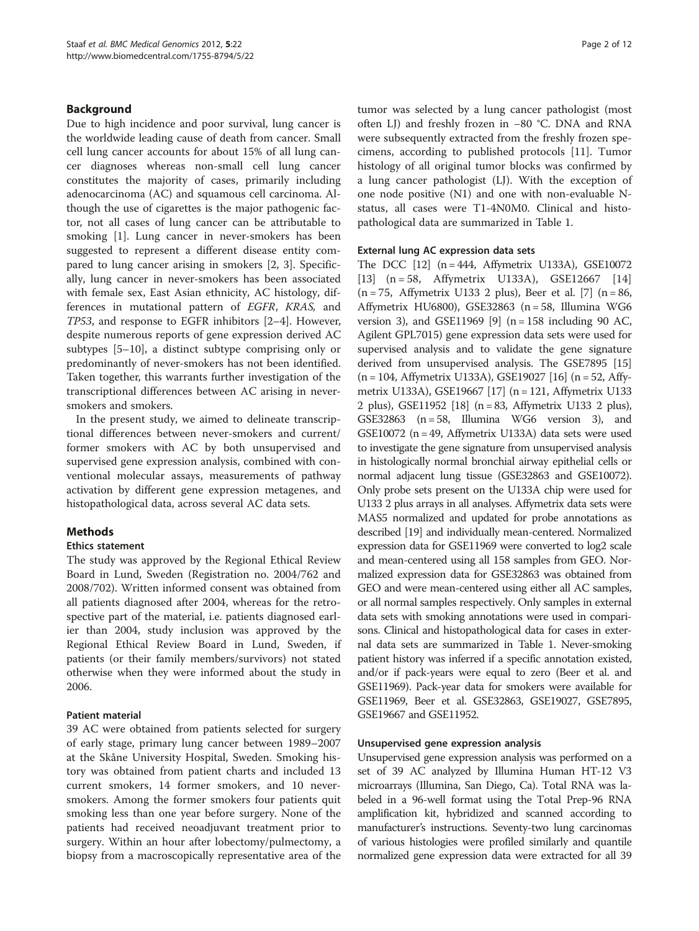#### Background

Due to high incidence and poor survival, lung cancer is the worldwide leading cause of death from cancer. Small cell lung cancer accounts for about 15% of all lung cancer diagnoses whereas non-small cell lung cancer constitutes the majority of cases, primarily including adenocarcinoma (AC) and squamous cell carcinoma. Although the use of cigarettes is the major pathogenic factor, not all cases of lung cancer can be attributable to smoking [[1\]](#page-10-0). Lung cancer in never-smokers has been suggested to represent a different disease entity compared to lung cancer arising in smokers [[2, 3\]](#page-10-0). Specifically, lung cancer in never-smokers has been associated with female sex, East Asian ethnicity, AC histology, differences in mutational pattern of EGFR, KRAS, and TP53, and response to EGFR inhibitors [[2](#page-10-0)–[4\]](#page-10-0). However, despite numerous reports of gene expression derived AC subtypes [\[5](#page-10-0)–[10](#page-10-0)], a distinct subtype comprising only or predominantly of never-smokers has not been identified. Taken together, this warrants further investigation of the transcriptional differences between AC arising in neversmokers and smokers.

In the present study, we aimed to delineate transcriptional differences between never-smokers and current/ former smokers with AC by both unsupervised and supervised gene expression analysis, combined with conventional molecular assays, measurements of pathway activation by different gene expression metagenes, and histopathological data, across several AC data sets.

#### **Methods**

#### Ethics statement

The study was approved by the Regional Ethical Review Board in Lund, Sweden (Registration no. 2004/762 and 2008/702). Written informed consent was obtained from all patients diagnosed after 2004, whereas for the retrospective part of the material, i.e. patients diagnosed earlier than 2004, study inclusion was approved by the Regional Ethical Review Board in Lund, Sweden, if patients (or their family members/survivors) not stated otherwise when they were informed about the study in 2006.

#### Patient material

39 AC were obtained from patients selected for surgery of early stage, primary lung cancer between 1989–2007 at the Skåne University Hospital, Sweden. Smoking history was obtained from patient charts and included 13 current smokers, 14 former smokers, and 10 neversmokers. Among the former smokers four patients quit smoking less than one year before surgery. None of the patients had received neoadjuvant treatment prior to surgery. Within an hour after lobectomy/pulmectomy, a biopsy from a macroscopically representative area of the tumor was selected by a lung cancer pathologist (most often LJ) and freshly frozen in −80 °C. DNA and RNA were subsequently extracted from the freshly frozen specimens, according to published protocols [[11](#page-10-0)]. Tumor histology of all original tumor blocks was confirmed by a lung cancer pathologist (LJ). With the exception of one node positive (N1) and one with non-evaluable Nstatus, all cases were T1-4N0M0. Clinical and histopathological data are summarized in Table [1](#page-2-0).

#### External lung AC expression data sets

The DCC [[12](#page-10-0)] (n = 444, Affymetrix U133A), GSE10072 [[13](#page-10-0)] (n = 58, Affymetrix U133A), GSE12667 [\[14](#page-10-0)]  $(n = 75,$  Affymetrix U133 2 plus), Beer et al. [\[7](#page-10-0)]  $(n = 86,$ Affymetrix HU6800), GSE32863 (n = 58, Illumina WG6 version 3), and GSE11[9](#page-10-0)69 [9]  $(n = 158$  including 90 AC, Agilent GPL7015) gene expression data sets were used for supervised analysis and to validate the gene signature derived from unsupervised analysis. The GSE7895 [[15](#page-11-0)] (n = 104, Affymetrix U133A), GSE19027 [\[16\]](#page-11-0) (n = 52, Affymetrix U133A), GSE19667 [\[17\]](#page-11-0) (n = 121, Affymetrix U133 2 plus), GSE11952 [[18](#page-11-0)] (n = 83, Affymetrix U133 2 plus), GSE32863 ( $n = 58$ , Illumina WG6 version 3), and GSE10072 (n = 49, Affymetrix U133A) data sets were used to investigate the gene signature from unsupervised analysis in histologically normal bronchial airway epithelial cells or normal adjacent lung tissue (GSE32863 and GSE10072). Only probe sets present on the U133A chip were used for U133 2 plus arrays in all analyses. Affymetrix data sets were MAS5 normalized and updated for probe annotations as described [[19](#page-11-0)] and individually mean-centered. Normalized expression data for GSE11969 were converted to log2 scale and mean-centered using all 158 samples from GEO. Normalized expression data for GSE32863 was obtained from GEO and were mean-centered using either all AC samples, or all normal samples respectively. Only samples in external data sets with smoking annotations were used in comparisons. Clinical and histopathological data for cases in external data sets are summarized in Table [1.](#page-2-0) Never-smoking patient history was inferred if a specific annotation existed, and/or if pack-years were equal to zero (Beer et al. and GSE11969). Pack-year data for smokers were available for GSE11969, Beer et al. GSE32863, GSE19027, GSE7895, GSE19667 and GSE11952.

#### Unsupervised gene expression analysis

Unsupervised gene expression analysis was performed on a set of 39 AC analyzed by Illumina Human HT-12 V3 microarrays (Illumina, San Diego, Ca). Total RNA was labeled in a 96-well format using the Total Prep-96 RNA amplification kit, hybridized and scanned according to manufacturer's instructions. Seventy-two lung carcinomas of various histologies were profiled similarly and quantile normalized gene expression data were extracted for all 39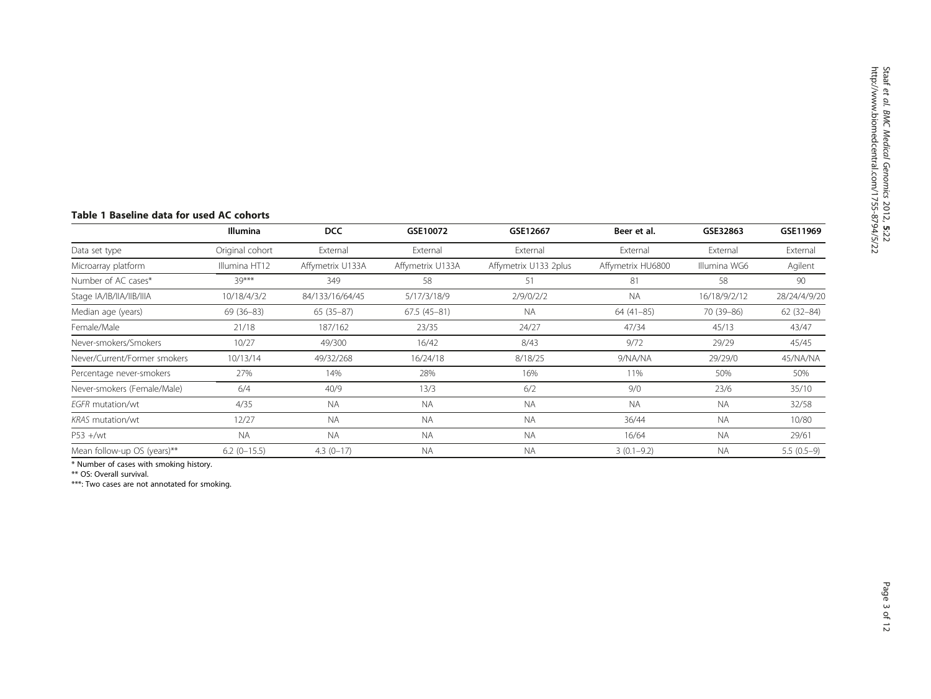#### <span id="page-2-0"></span>Table 1 Baseline data for used AC cohorts

|                              | <b>Illumina</b> | <b>DCC</b>       | GSE10072         | GSE12667              | Beer et al.       | GSE32863     | GSE11969     |
|------------------------------|-----------------|------------------|------------------|-----------------------|-------------------|--------------|--------------|
| Data set type                | Original cohort | External         | External         | External              | External          | External     | External     |
| Microarray platform          | Illumina HT12   | Affymetrix U133A | Affymetrix U133A | Affymetrix U133 2plus | Affymetrix HU6800 | Illumina WG6 | Agilent      |
| Number of AC cases*          | $39***$         | 349              | 58               | 51                    | 81                | 58           | 90           |
| Stage IA/IB/IIA/IIB/IIIA     | 10/18/4/3/2     | 84/133/16/64/45  | 5/17/3/18/9      | 2/9/0/2/2             | <b>NA</b>         | 16/18/9/2/12 | 28/24/4/9/20 |
| Median age (years)           | $69(36-83)$     | $65(35-87)$      | $67.5(45-81)$    | <b>NA</b>             | $64(41-85)$       | 70 (39-86)   | $62(32-84)$  |
| Female/Male                  | 21/18           | 187/162          | 23/35            | 24/27                 | 47/34             | 45/13        | 43/47        |
| Never-smokers/Smokers        | 10/27           | 49/300           | 16/42            | 8/43                  | 9/72              | 29/29        | 45/45        |
| Never/Current/Former smokers | 10/13/14        | 49/32/268        | 16/24/18         | 8/18/25               | 9/NA/NA           | 29/29/0      | 45/NA/NA     |
| Percentage never-smokers     | 27%             | 14%              | 28%              | 16%                   | 11%               | 50%          | 50%          |
| Never-smokers (Female/Male)  | 6/4             | 40/9             | 13/3             | 6/2                   | 9/0               | 23/6         | 35/10        |
| EGFR mutation/wt             | 4/35            | <b>NA</b>        | <b>NA</b>        | <b>NA</b>             | <b>NA</b>         | <b>NA</b>    | 32/58        |
| KRAS mutation/wt             | 12/27           | <b>NA</b>        | <b>NA</b>        | <b>NA</b>             | 36/44             | <b>NA</b>    | 10/80        |
| $P53 + /wt$                  | <b>NA</b>       | <b>NA</b>        | <b>NA</b>        | <b>NA</b>             | 16/64             | <b>NA</b>    | 29/61        |
| Mean follow-up OS (years)**  | $6.2$ (0-15.5)  | $4.3(0-17)$      | <b>NA</b>        | <b>NA</b>             | $3(0.1-9.2)$      | <b>NA</b>    | $5.5(0.5-9)$ |

\* Number of cases with smoking history.

\*\* OS: Overall survival.

\*\*\*: Two cases are not annotated for smoking.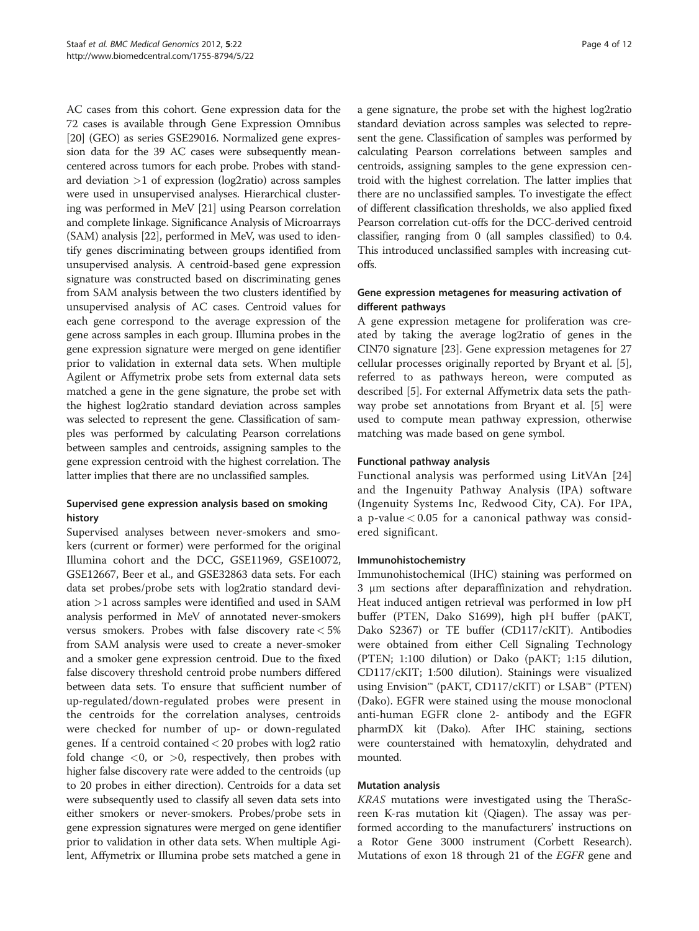AC cases from this cohort. Gene expression data for the 72 cases is available through Gene Expression Omnibus [[20](#page-11-0)] (GEO) as series GSE29016. Normalized gene expression data for the 39 AC cases were subsequently meancentered across tumors for each probe. Probes with standard deviation >1 of expression (log2ratio) across samples were used in unsupervised analyses. Hierarchical clustering was performed in MeV [[21](#page-11-0)] using Pearson correlation and complete linkage. Significance Analysis of Microarrays (SAM) analysis [\[22\]](#page-11-0), performed in MeV, was used to identify genes discriminating between groups identified from unsupervised analysis. A centroid-based gene expression signature was constructed based on discriminating genes from SAM analysis between the two clusters identified by unsupervised analysis of AC cases. Centroid values for each gene correspond to the average expression of the gene across samples in each group. Illumina probes in the gene expression signature were merged on gene identifier prior to validation in external data sets. When multiple Agilent or Affymetrix probe sets from external data sets matched a gene in the gene signature, the probe set with the highest log2ratio standard deviation across samples was selected to represent the gene. Classification of samples was performed by calculating Pearson correlations between samples and centroids, assigning samples to the gene expression centroid with the highest correlation. The latter implies that there are no unclassified samples.

## Supervised gene expression analysis based on smoking history

Supervised analyses between never-smokers and smokers (current or former) were performed for the original Illumina cohort and the DCC, GSE11969, GSE10072, GSE12667, Beer et al., and GSE32863 data sets. For each data set probes/probe sets with log2ratio standard deviation >1 across samples were identified and used in SAM analysis performed in MeV of annotated never-smokers versus smokers. Probes with false discovery rate < 5% from SAM analysis were used to create a never-smoker and a smoker gene expression centroid. Due to the fixed false discovery threshold centroid probe numbers differed between data sets. To ensure that sufficient number of up-regulated/down-regulated probes were present in the centroids for the correlation analyses, centroids were checked for number of up- or down-regulated genes. If a centroid contained  $<$  20 probes with log2 ratio fold change  $<$ 0, or  $>$ 0, respectively, then probes with higher false discovery rate were added to the centroids (up to 20 probes in either direction). Centroids for a data set were subsequently used to classify all seven data sets into either smokers or never-smokers. Probes/probe sets in gene expression signatures were merged on gene identifier prior to validation in other data sets. When multiple Agilent, Affymetrix or Illumina probe sets matched a gene in

a gene signature, the probe set with the highest log2ratio standard deviation across samples was selected to represent the gene. Classification of samples was performed by calculating Pearson correlations between samples and centroids, assigning samples to the gene expression centroid with the highest correlation. The latter implies that there are no unclassified samples. To investigate the effect of different classification thresholds, we also applied fixed Pearson correlation cut-offs for the DCC-derived centroid classifier, ranging from 0 (all samples classified) to 0.4. This introduced unclassified samples with increasing cutoffs.

#### Gene expression metagenes for measuring activation of different pathways

A gene expression metagene for proliferation was created by taking the average log2ratio of genes in the CIN70 signature [[23\]](#page-11-0). Gene expression metagenes for 27 cellular processes originally reported by Bryant et al. [\[5](#page-10-0)], referred to as pathways hereon, were computed as described [[5\]](#page-10-0). For external Affymetrix data sets the pathway probe set annotations from Bryant et al. [[5](#page-10-0)] were used to compute mean pathway expression, otherwise matching was made based on gene symbol.

## Functional pathway analysis

Functional analysis was performed using LitVAn [\[24](#page-11-0)] and the Ingenuity Pathway Analysis (IPA) software (Ingenuity Systems Inc, Redwood City, CA). For IPA, a p-value  $< 0.05$  for a canonical pathway was considered significant.

## Immunohistochemistry

Immunohistochemical (IHC) staining was performed on 3 μm sections after deparaffinization and rehydration. Heat induced antigen retrieval was performed in low pH buffer (PTEN, Dako S1699), high pH buffer (pAKT, Dako S2367) or TE buffer (CD117/cKIT). Antibodies were obtained from either Cell Signaling Technology (PTEN; 1:100 dilution) or Dako (pAKT; 1:15 dilution, CD117/cKIT; 1:500 dilution). Stainings were visualized using Envision™ (pAKT, CD117/cKIT) or LSAB™ (PTEN) (Dako). EGFR were stained using the mouse monoclonal anti-human EGFR clone 2- antibody and the EGFR pharmDX kit (Dako). After IHC staining, sections were counterstained with hematoxylin, dehydrated and mounted.

## Mutation analysis

KRAS mutations were investigated using the TheraScreen K-ras mutation kit (Qiagen). The assay was performed according to the manufacturers' instructions on a Rotor Gene 3000 instrument (Corbett Research). Mutations of exon 18 through 21 of the EGFR gene and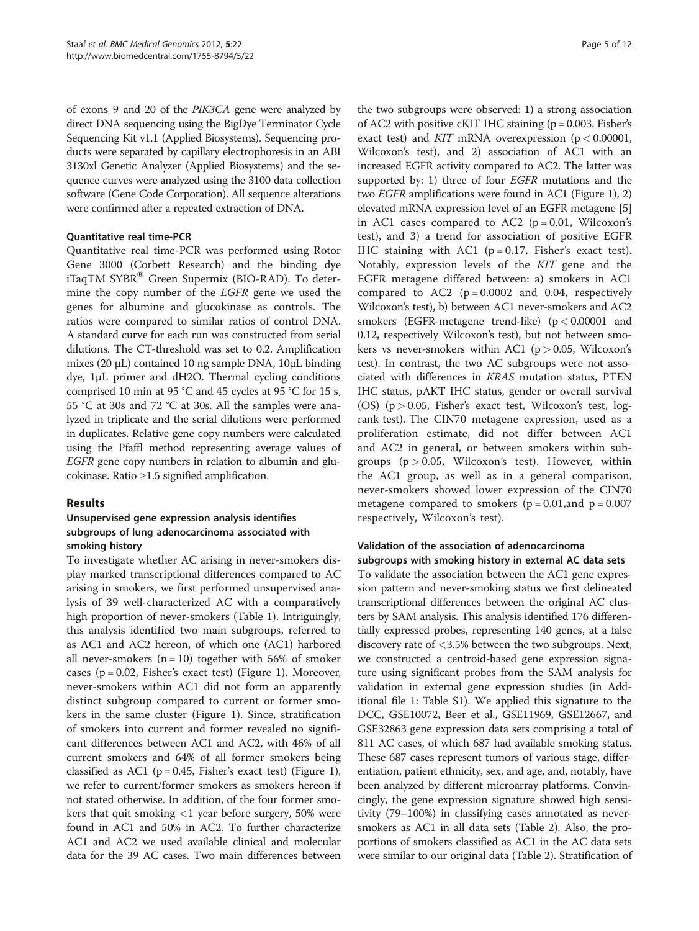of exons 9 and 20 of the PIK3CA gene were analyzed by direct DNA sequencing using the BigDye Terminator Cycle Sequencing Kit v1.1 (Applied Biosystems). Sequencing products were separated by capillary electrophoresis in an ABI 3130xl Genetic Analyzer (Applied Biosystems) and the sequence curves were analyzed using the 3100 data collection software (Gene Code Corporation). All sequence alterations were confirmed after a repeated extraction of DNA.

#### Quantitative real time-PCR

Quantitative real time-PCR was performed using Rotor Gene 3000 (Corbett Research) and the binding dye  $iTaqTM$  SYBR<sup>®</sup> Green Supermix (BIO-RAD). To determine the copy number of the EGFR gene we used the genes for albumine and glucokinase as controls. The ratios were compared to similar ratios of control DNA. A standard curve for each run was constructed from serial dilutions. The CT-threshold was set to 0.2. Amplification mixes (20 μL) contained 10 ng sample DNA, 10μL binding dye, 1μL primer and dH2O. Thermal cycling conditions comprised 10 min at 95 °C and 45 cycles at 95 °C for 15 s, 55 °C at 30s and 72 °C at 30s. All the samples were analyzed in triplicate and the serial dilutions were performed in duplicates. Relative gene copy numbers were calculated using the Pfaffl method representing average values of EGFR gene copy numbers in relation to albumin and glucokinase. Ratio ≥1.5 signified amplification.

#### Results

#### Unsupervised gene expression analysis identifies subgroups of lung adenocarcinoma associated with smoking history

To investigate whether AC arising in never-smokers display marked transcriptional differences compared to AC arising in smokers, we first performed unsupervised analysis of 39 well-characterized AC with a comparatively high proportion of never-smokers (Table [1](#page-2-0)). Intriguingly, this analysis identified two main subgroups, referred to as AC1 and AC2 hereon, of which one (AC1) harbored all never-smokers  $(n = 10)$  together with 56% of smoker cases ( $p = 0.02$ , Fisher's exact test) (Figure [1\)](#page-5-0). Moreover, never-smokers within AC1 did not form an apparently distinct subgroup compared to current or former smokers in the same cluster (Figure [1\)](#page-5-0). Since, stratification of smokers into current and former revealed no significant differences between AC1 and AC2, with 46% of all current smokers and 64% of all former smokers being classified as AC1 ( $p = 0.45$ , Fisher's exact test) (Figure [1](#page-5-0)), we refer to current/former smokers as smokers hereon if not stated otherwise. In addition, of the four former smokers that quit smoking  $\langle 1 \rangle$  year before surgery, 50% were found in AC1 and 50% in AC2. To further characterize AC1 and AC2 we used available clinical and molecular data for the 39 AC cases. Two main differences between

the two subgroups were observed: 1) a strong association of AC2 with positive cKIT IHC staining  $(p = 0.003,$  Fisher's exact test) and  $KIT$  mRNA overexpression ( $p < 0.00001$ , Wilcoxon's test), and 2) association of AC1 with an increased EGFR activity compared to AC2. The latter was supported by: 1) three of four EGFR mutations and the two EGFR amplifications were found in AC1 (Figure [1\)](#page-5-0), 2) elevated mRNA expression level of an EGFR metagene [[5](#page-10-0)] in AC1 cases compared to AC2 ( $p = 0.01$ , Wilcoxon's test), and 3) a trend for association of positive EGFR IHC staining with AC1 ( $p = 0.17$ , Fisher's exact test). Notably, expression levels of the KIT gene and the EGFR metagene differed between: a) smokers in AC1 compared to  $AC2$  ( $p = 0.0002$  and 0.04, respectively Wilcoxon's test), b) between AC1 never-smokers and AC2 smokers (EGFR-metagene trend-like) (p< 0.00001 and 0.12, respectively Wilcoxon's test), but not between smokers vs never-smokers within AC1 ( $p > 0.05$ , Wilcoxon's test). In contrast, the two AC subgroups were not associated with differences in KRAS mutation status, PTEN IHC status, pAKT IHC status, gender or overall survival (OS) ( $p > 0.05$ , Fisher's exact test, Wilcoxon's test, logrank test). The CIN70 metagene expression, used as a proliferation estimate, did not differ between AC1 and AC2 in general, or between smokers within subgroups  $(p > 0.05,$  Wilcoxon's test). However, within the AC1 group, as well as in a general comparison, never-smokers showed lower expression of the CIN70 metagene compared to smokers ( $p = 0.01$ , and  $p = 0.007$ respectively, Wilcoxon's test).

#### Validation of the association of adenocarcinoma subgroups with smoking history in external AC data sets

To validate the association between the AC1 gene expression pattern and never-smoking status we first delineated transcriptional differences between the original AC clusters by SAM analysis. This analysis identified 176 differentially expressed probes, representing 140 genes, at a false discovery rate of <3.5% between the two subgroups. Next, we constructed a centroid-based gene expression signature using significant probes from the SAM analysis for validation in external gene expression studies (in [Add](#page-9-0)[itional file 1: Table S1](#page-9-0)). We applied this signature to the DCC, GSE10072, Beer et al., GSE11969, GSE12667, and GSE32863 gene expression data sets comprising a total of 811 AC cases, of which 687 had available smoking status. These 687 cases represent tumors of various stage, differentiation, patient ethnicity, sex, and age, and, notably, have been analyzed by different microarray platforms. Convincingly, the gene expression signature showed high sensitivity (79–100%) in classifying cases annotated as neversmokers as AC1 in all data sets (Table [2](#page-5-0)). Also, the proportions of smokers classified as AC1 in the AC data sets were similar to our original data (Table [2\)](#page-5-0). Stratification of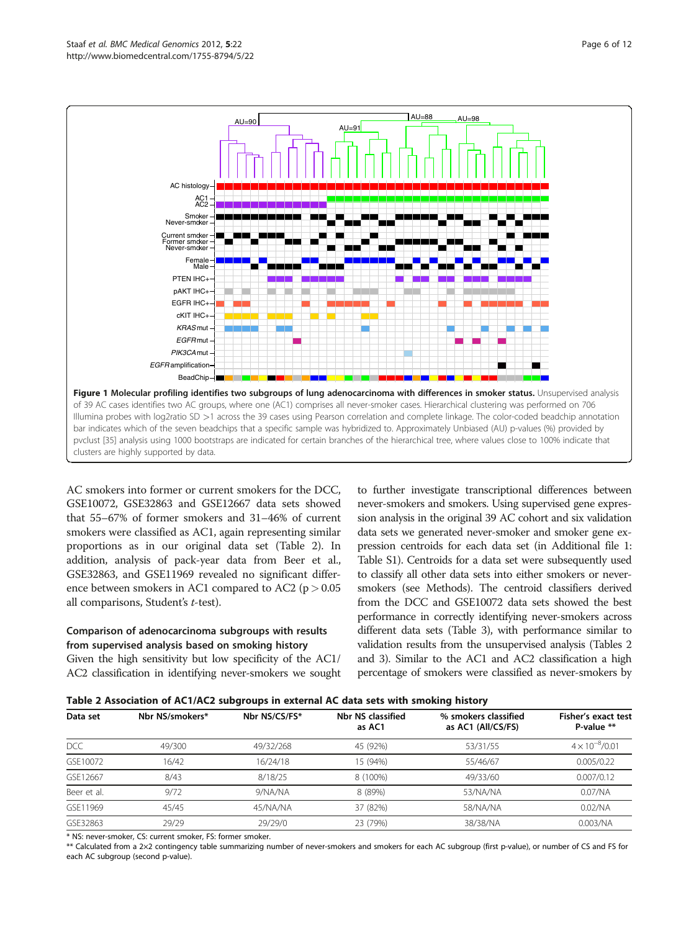<span id="page-5-0"></span>

AC smokers into former or current smokers for the DCC, GSE10072, GSE32863 and GSE12667 data sets showed that 55–67% of former smokers and 31–46% of current smokers were classified as AC1, again representing similar proportions as in our original data set (Table 2). In addition, analysis of pack-year data from Beer et al., GSE32863, and GSE11969 revealed no significant difference between smokers in AC1 compared to AC2 ( $p > 0.05$ ) all comparisons, Student's t-test).

## Comparison of adenocarcinoma subgroups with results from supervised analysis based on smoking history

Given the high sensitivity but low specificity of the AC1/ AC2 classification in identifying never-smokers we sought

to further investigate transcriptional differences between never-smokers and smokers. Using supervised gene expression analysis in the original 39 AC cohort and six validation data sets we generated never-smoker and smoker gene expression centroids for each data set (in [Additional file 1:](#page-9-0) [Table S1\)](#page-9-0). Centroids for a data set were subsequently used to classify all other data sets into either smokers or neversmokers (see Methods). The centroid classifiers derived from the DCC and GSE10072 data sets showed the best performance in correctly identifying never-smokers across different data sets (Table [3\)](#page-6-0), with performance similar to validation results from the unsupervised analysis (Tables 2 and [3\)](#page-6-0). Similar to the AC1 and AC2 classification a high percentage of smokers were classified as never-smokers by

| Table 2 Association of AC1/AC2 subgroups in external AC data sets with smoking history |  |  |  |  |  |
|----------------------------------------------------------------------------------------|--|--|--|--|--|
|----------------------------------------------------------------------------------------|--|--|--|--|--|

| Data set    | Nbr NS/smokers* | Nbr NS/CS/FS* | Nbr NS classified<br>as AC1 | % smokers classified<br>as AC1 (All/CS/FS) | Fisher's exact test<br>P-value $**$ |
|-------------|-----------------|---------------|-----------------------------|--------------------------------------------|-------------------------------------|
| <b>DCC</b>  | 49/300          | 49/32/268     | 45 (92%)                    | 53/31/55                                   | $4 \times 10^{-8} / 0.01$           |
| GSE10072    | 16/42           | 16/24/18      | 15 (94%)                    | 55/46/67                                   | 0.005/0.22                          |
| GSE12667    | 8/43            | 8/18/25       | 8 (100%)                    | 49/33/60                                   | 0.007/0.12                          |
| Beer et al. | 9/72            | 9/NA/NA       | 8 (89%)                     | 53/NA/NA                                   | 0.07/NA                             |
| GSE11969    | 45/45           | 45/NA/NA      | 37 (82%)                    | 58/NA/NA                                   | 0.02/NA                             |
| GSE32863    | 29/29           | 29/29/0       | 23 (79%)                    | 38/38/NA                                   | 0.003/NA                            |

\* NS: never-smoker, CS: current smoker, FS: former smoker.

\*\* Calculated from a 2×2 contingency table summarizing number of never-smokers and smokers for each AC subgroup (first p-value), or number of CS and FS for each AC subgroup (second p-value).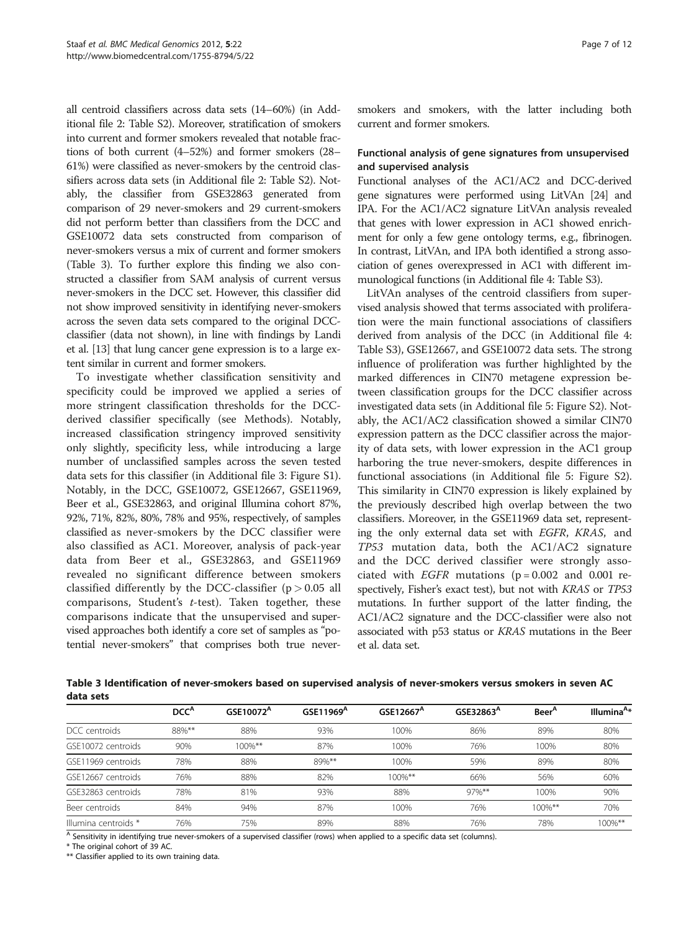<span id="page-6-0"></span>all centroid classifiers across data sets (14–60%) (in [Add](#page-9-0)[itional file 2: Table S2\)](#page-9-0). Moreover, stratification of smokers into current and former smokers revealed that notable fractions of both current (4–52%) and former smokers (28– 61%) were classified as never-smokers by the centroid classifiers across data sets (in [Additional file 2: Table S2\)](#page-9-0). Notably, the classifier from GSE32863 generated from comparison of 29 never-smokers and 29 current-smokers did not perform better than classifiers from the DCC and GSE10072 data sets constructed from comparison of never-smokers versus a mix of current and former smokers (Table 3). To further explore this finding we also constructed a classifier from SAM analysis of current versus never-smokers in the DCC set. However, this classifier did not show improved sensitivity in identifying never-smokers across the seven data sets compared to the original DCCclassifier (data not shown), in line with findings by Landi et al. [\[13\]](#page-10-0) that lung cancer gene expression is to a large extent similar in current and former smokers.

To investigate whether classification sensitivity and specificity could be improved we applied a series of more stringent classification thresholds for the DCCderived classifier specifically (see Methods). Notably, increased classification stringency improved sensitivity only slightly, specificity less, while introducing a large number of unclassified samples across the seven tested data sets for this classifier (in [Additional file 3: Figure S1](#page-9-0)). Notably, in the DCC, GSE10072, GSE12667, GSE11969, Beer et al., GSE32863, and original Illumina cohort 87%, 92%, 71%, 82%, 80%, 78% and 95%, respectively, of samples classified as never-smokers by the DCC classifier were also classified as AC1. Moreover, analysis of pack-year data from Beer et al., GSE32863, and GSE11969 revealed no significant difference between smokers classified differently by the DCC-classifier  $(p > 0.05$  all comparisons, Student's  $t$ -test). Taken together, these comparisons indicate that the unsupervised and supervised approaches both identify a core set of samples as "potential never-smokers" that comprises both true neversmokers and smokers, with the latter including both current and former smokers.

#### Functional analysis of gene signatures from unsupervised and supervised analysis

Functional analyses of the AC1/AC2 and DCC-derived gene signatures were performed using LitVAn [\[24\]](#page-11-0) and IPA. For the AC1/AC2 signature LitVAn analysis revealed that genes with lower expression in AC1 showed enrichment for only a few gene ontology terms, e.g., fibrinogen. In contrast, LitVAn, and IPA both identified a strong association of genes overexpressed in AC1 with different immunological functions (in [Additional file 4: Table S3\)](#page-10-0).

LitVAn analyses of the centroid classifiers from supervised analysis showed that terms associated with proliferation were the main functional associations of classifiers derived from analysis of the DCC (in [Additional file 4:](#page-10-0) [Table S3\)](#page-10-0), GSE12667, and GSE10072 data sets. The strong influence of proliferation was further highlighted by the marked differences in CIN70 metagene expression between classification groups for the DCC classifier across investigated data sets (in [Additional file 5: Figure S2\)](#page-10-0). Notably, the AC1/AC2 classification showed a similar CIN70 expression pattern as the DCC classifier across the majority of data sets, with lower expression in the AC1 group harboring the true never-smokers, despite differences in functional associations (in [Additional file 5: Figure S2](#page-10-0)). This similarity in CIN70 expression is likely explained by the previously described high overlap between the two classifiers. Moreover, in the GSE11969 data set, representing the only external data set with EGFR, KRAS, and TP53 mutation data, both the AC1/AC2 signature and the DCC derived classifier were strongly associated with *EGFR* mutations  $(p = 0.002$  and 0.001 respectively, Fisher's exact test), but not with KRAS or TP53 mutations. In further support of the latter finding, the AC1/AC2 signature and the DCC-classifier were also not associated with p53 status or KRAS mutations in the Beer et al. data set.

|                      | DCC <sup>A</sup> | GSE10072 <sup>A</sup> | GSE11969 <sup>A</sup> | GSE12667 <sup>A</sup> | GSE32863 <sup>A</sup> | Beer <sup>A</sup> | Illumina <sup>A*</sup> |
|----------------------|------------------|-----------------------|-----------------------|-----------------------|-----------------------|-------------------|------------------------|
| DCC centroids        | 88%**            | 88%                   | 93%                   | 100%                  | 86%                   | 89%               | 80%                    |
| GSE10072 centroids   | 90%              | $100\%$ **            | 87%                   | 100%                  | 76%                   | 100%              | 80%                    |
| GSE11969 centroids   | 78%              | 88%                   | 89%**                 | 100%                  | 59%                   | 89%               | 80%                    |
| GSE12667 centroids   | 76%              | 88%                   | 82%                   | $100\%$ **            | 66%                   | 56%               | 60%                    |
| GSE32863 centroids   | 78%              | 81%                   | 93%                   | 88%                   | $97\%$ **             | 100%              | 90%                    |
| Beer centroids       | 84%              | 94%                   | 87%                   | 100%                  | 76%                   | $100\%$ **        | 70%                    |
| Illumina centroids * | 76%              | 75%                   | 89%                   | 88%                   | 76%                   | 78%               | $100\%$ **             |

Table 3 Identification of never-smokers based on supervised analysis of never-smokers versus smokers in seven AC data sets

<sup>A</sup> Sensitivity in identifying true never-smokers of a supervised classifier (rows) when applied to a specific data set (columns).

\* The original cohort of 39 AC.

\*\* Classifier applied to its own training data.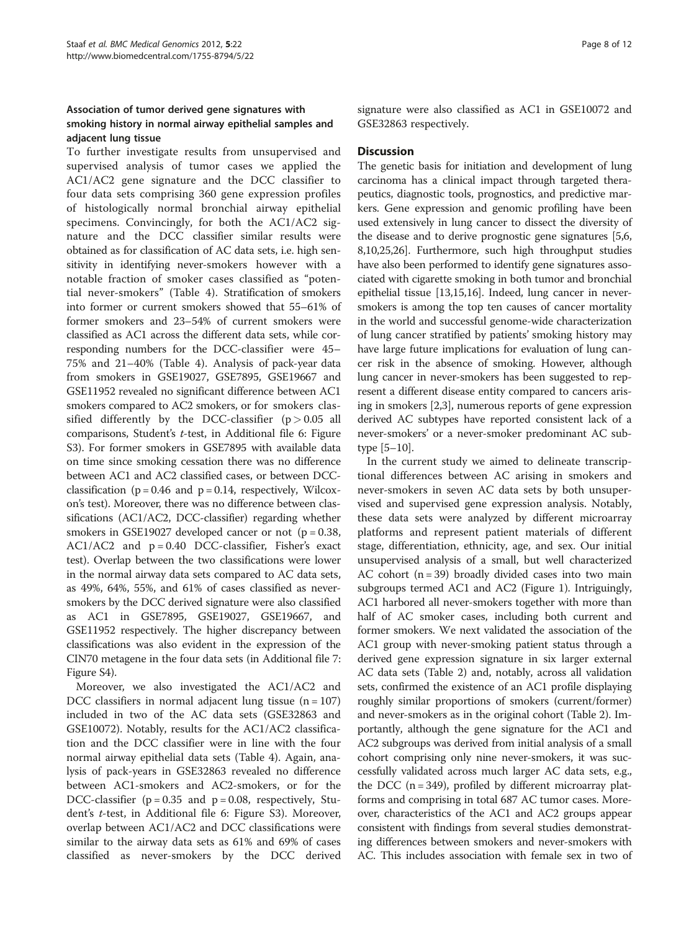## Association of tumor derived gene signatures with smoking history in normal airway epithelial samples and adjacent lung tissue

To further investigate results from unsupervised and supervised analysis of tumor cases we applied the AC1/AC2 gene signature and the DCC classifier to four data sets comprising 360 gene expression profiles of histologically normal bronchial airway epithelial specimens. Convincingly, for both the AC1/AC2 signature and the DCC classifier similar results were obtained as for classification of AC data sets, i.e. high sensitivity in identifying never-smokers however with a notable fraction of smoker cases classified as "potential never-smokers" (Table [4](#page-8-0)). Stratification of smokers into former or current smokers showed that 55–61% of former smokers and 23–54% of current smokers were classified as AC1 across the different data sets, while corresponding numbers for the DCC-classifier were 45– 75% and 21–40% (Table [4](#page-8-0)). Analysis of pack-year data from smokers in GSE19027, GSE7895, GSE19667 and GSE11952 revealed no significant difference between AC1 smokers compared to AC2 smokers, or for smokers classified differently by the DCC-classifier  $(p > 0.05$  all comparisons, Student's t-test, in [Additional file 6: Figure](#page-10-0) [S3](#page-10-0)). For former smokers in GSE7895 with available data on time since smoking cessation there was no difference between AC1 and AC2 classified cases, or between DCCclassification ( $p = 0.46$  and  $p = 0.14$ , respectively, Wilcoxon's test). Moreover, there was no difference between classifications (AC1/AC2, DCC-classifier) regarding whether smokers in GSE19027 developed cancer or not ( $p = 0.38$ ,  $AC1/AC2$  and  $p = 0.40$  DCC-classifier, Fisher's exact test). Overlap between the two classifications were lower in the normal airway data sets compared to AC data sets, as 49%, 64%, 55%, and 61% of cases classified as neversmokers by the DCC derived signature were also classified as AC1 in GSE7895, GSE19027, GSE19667, and GSE11952 respectively. The higher discrepancy between classifications was also evident in the expression of the CIN70 metagene in the four data sets (in [Additional file 7:](#page-10-0) [Figure S4](#page-10-0)).

Moreover, we also investigated the AC1/AC2 and DCC classifiers in normal adjacent lung tissue  $(n = 107)$ included in two of the AC data sets (GSE32863 and GSE10072). Notably, results for the AC1/AC2 classification and the DCC classifier were in line with the four normal airway epithelial data sets (Table [4\)](#page-8-0). Again, analysis of pack-years in GSE32863 revealed no difference between AC1-smokers and AC2-smokers, or for the DCC-classifier ( $p = 0.35$  and  $p = 0.08$ , respectively, Student's t-test, in [Additional file 6: Figure S3\)](#page-10-0). Moreover, overlap between AC1/AC2 and DCC classifications were similar to the airway data sets as 61% and 69% of cases classified as never-smokers by the DCC derived signature were also classified as AC1 in GSE10072 and GSE32863 respectively.

#### **Discussion**

The genetic basis for initiation and development of lung carcinoma has a clinical impact through targeted therapeutics, diagnostic tools, prognostics, and predictive markers. Gene expression and genomic profiling have been used extensively in lung cancer to dissect the diversity of the disease and to derive prognostic gene signatures [[5,6](#page-10-0), [8,10](#page-10-0)[,25,26\]](#page-11-0). Furthermore, such high throughput studies have also been performed to identify gene signatures associated with cigarette smoking in both tumor and bronchial epithelial tissue [\[13](#page-10-0)[,15,16](#page-11-0)]. Indeed, lung cancer in neversmokers is among the top ten causes of cancer mortality in the world and successful genome-wide characterization of lung cancer stratified by patients' smoking history may have large future implications for evaluation of lung cancer risk in the absence of smoking. However, although lung cancer in never-smokers has been suggested to represent a different disease entity compared to cancers arising in smokers [[2,3](#page-10-0)], numerous reports of gene expression derived AC subtypes have reported consistent lack of a never-smokers' or a never-smoker predominant AC subtype [\[5](#page-10-0)–[10\]](#page-10-0).

In the current study we aimed to delineate transcriptional differences between AC arising in smokers and never-smokers in seven AC data sets by both unsupervised and supervised gene expression analysis. Notably, these data sets were analyzed by different microarray platforms and represent patient materials of different stage, differentiation, ethnicity, age, and sex. Our initial unsupervised analysis of a small, but well characterized AC cohort  $(n = 39)$  broadly divided cases into two main subgroups termed AC1 and AC2 (Figure [1](#page-5-0)). Intriguingly, AC1 harbored all never-smokers together with more than half of AC smoker cases, including both current and former smokers. We next validated the association of the AC1 group with never-smoking patient status through a derived gene expression signature in six larger external AC data sets (Table [2\)](#page-5-0) and, notably, across all validation sets, confirmed the existence of an AC1 profile displaying roughly similar proportions of smokers (current/former) and never-smokers as in the original cohort (Table [2\)](#page-5-0). Importantly, although the gene signature for the AC1 and AC2 subgroups was derived from initial analysis of a small cohort comprising only nine never-smokers, it was successfully validated across much larger AC data sets, e.g., the DCC  $(n = 349)$ , profiled by different microarray platforms and comprising in total 687 AC tumor cases. Moreover, characteristics of the AC1 and AC2 groups appear consistent with findings from several studies demonstrating differences between smokers and never-smokers with AC. This includes association with female sex in two of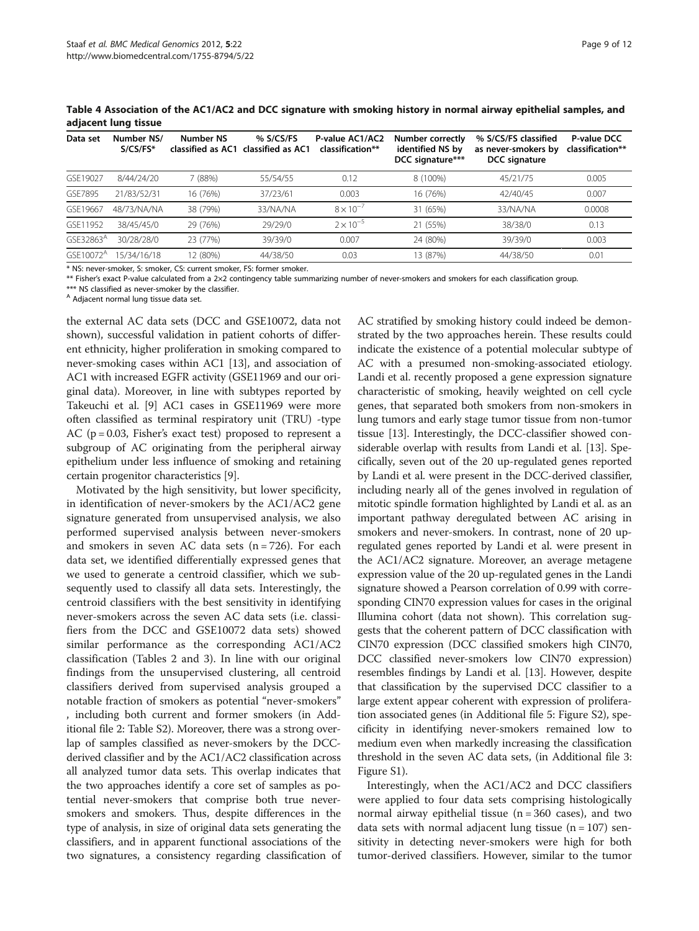| Data set              | Number NS/<br>$S/CS/FS*$ | Number NS<br>classified as AC1 | % S/CS/FS<br>classified as AC1 | P-value AC1/AC2<br>classification** | Number correctly<br>identified NS by<br>DCC signature*** | % S/CS/FS classified<br>as never-smokers by<br>DCC signature | P-value DCC<br>classification** |
|-----------------------|--------------------------|--------------------------------|--------------------------------|-------------------------------------|----------------------------------------------------------|--------------------------------------------------------------|---------------------------------|
| GSE19027              | 8/44/24/20               | 7 (88%)                        | 55/54/55                       | 0.12                                | 8 (100%)                                                 | 45/21/75                                                     | 0.005                           |
| GSE7895               | 21/83/52/31              | 16 (76%)                       | 37/23/61                       | 0.003                               | 16 (76%)                                                 | 42/40/45                                                     | 0.007                           |
| GSE19667              | 48/73/NA/NA              | 38 (79%)                       | 33/NA/NA                       | $8 \times 10^{-7}$                  | 31 (65%)                                                 | 33/NA/NA                                                     | 0.0008                          |
| GSE11952              | 38/45/45/0               | 29 (76%)                       | 29/29/0                        | $2 \times 10^{-5}$                  | 21 (55%)                                                 | 38/38/0                                                      | 0.13                            |
| GSE32863 <sup>A</sup> | 30/28/28/0               | 23 (77%)                       | 39/39/0                        | 0.007                               | 24 (80%)                                                 | 39/39/0                                                      | 0.003                           |
| $GSE10072^A$          | 15/34/16/18              | 2 (80%)                        | 44/38/50                       | 0.03                                | 13 (87%)                                                 | 44/38/50                                                     | 0.01                            |

<span id="page-8-0"></span>Table 4 Association of the AC1/AC2 and DCC signature with smoking history in normal airway epithelial samples, and adjacent lung tissue

\* NS: never-smoker, S: smoker, CS: current smoker, FS: former smoker.

\*\* Fisher's exact P-value calculated from a 2×2 contingency table summarizing number of never-smokers and smokers for each classification group.

\*\*\* NS classified as never-smoker by the classifier.

<sup>A</sup> Adjacent normal lung tissue data set.

the external AC data sets (DCC and GSE10072, data not shown), successful validation in patient cohorts of different ethnicity, higher proliferation in smoking compared to never-smoking cases within AC1 [\[13\]](#page-10-0), and association of AC1 with increased EGFR activity (GSE11969 and our original data). Moreover, in line with subtypes reported by Takeuchi et al. [\[9](#page-10-0)] AC1 cases in GSE11969 were more often classified as terminal respiratory unit (TRU) -type AC ( $p = 0.03$ , Fisher's exact test) proposed to represent a subgroup of AC originating from the peripheral airway epithelium under less influence of smoking and retaining certain progenitor characteristics [\[9\]](#page-10-0).

Motivated by the high sensitivity, but lower specificity, in identification of never-smokers by the AC1/AC2 gene signature generated from unsupervised analysis, we also performed supervised analysis between never-smokers and smokers in seven AC data sets  $(n = 726)$ . For each data set, we identified differentially expressed genes that we used to generate a centroid classifier, which we subsequently used to classify all data sets. Interestingly, the centroid classifiers with the best sensitivity in identifying never-smokers across the seven AC data sets (i.e. classifiers from the DCC and GSE10072 data sets) showed similar performance as the corresponding AC1/AC2 classification (Tables [2](#page-5-0) and [3\)](#page-6-0). In line with our original findings from the unsupervised clustering, all centroid classifiers derived from supervised analysis grouped a notable fraction of smokers as potential "never-smokers" , including both current and former smokers (in [Add](#page-9-0)[itional file 2: Table S2\)](#page-9-0). Moreover, there was a strong overlap of samples classified as never-smokers by the DCCderived classifier and by the AC1/AC2 classification across all analyzed tumor data sets. This overlap indicates that the two approaches identify a core set of samples as potential never-smokers that comprise both true neversmokers and smokers. Thus, despite differences in the type of analysis, in size of original data sets generating the classifiers, and in apparent functional associations of the two signatures, a consistency regarding classification of AC stratified by smoking history could indeed be demonstrated by the two approaches herein. These results could indicate the existence of a potential molecular subtype of AC with a presumed non-smoking-associated etiology. Landi et al. recently proposed a gene expression signature characteristic of smoking, heavily weighted on cell cycle genes, that separated both smokers from non-smokers in lung tumors and early stage tumor tissue from non-tumor tissue [\[13\]](#page-10-0). Interestingly, the DCC-classifier showed considerable overlap with results from Landi et al. [\[13](#page-10-0)]. Specifically, seven out of the 20 up-regulated genes reported by Landi et al. were present in the DCC-derived classifier, including nearly all of the genes involved in regulation of mitotic spindle formation highlighted by Landi et al. as an important pathway deregulated between AC arising in smokers and never-smokers. In contrast, none of 20 upregulated genes reported by Landi et al. were present in the AC1/AC2 signature. Moreover, an average metagene expression value of the 20 up-regulated genes in the Landi signature showed a Pearson correlation of 0.99 with corresponding CIN70 expression values for cases in the original Illumina cohort (data not shown). This correlation suggests that the coherent pattern of DCC classification with CIN70 expression (DCC classified smokers high CIN70, DCC classified never-smokers low CIN70 expression) resembles findings by Landi et al. [[13](#page-10-0)]. However, despite that classification by the supervised DCC classifier to a large extent appear coherent with expression of proliferation associated genes (in [Additional file 5: Figure S2\)](#page-10-0), specificity in identifying never-smokers remained low to medium even when markedly increasing the classification threshold in the seven AC data sets, (in [Additional file 3:](#page-9-0) [Figure S1](#page-9-0)).

Interestingly, when the AC1/AC2 and DCC classifiers were applied to four data sets comprising histologically normal airway epithelial tissue  $(n = 360 \text{ cases})$ , and two data sets with normal adjacent lung tissue  $(n = 107)$  sensitivity in detecting never-smokers were high for both tumor-derived classifiers. However, similar to the tumor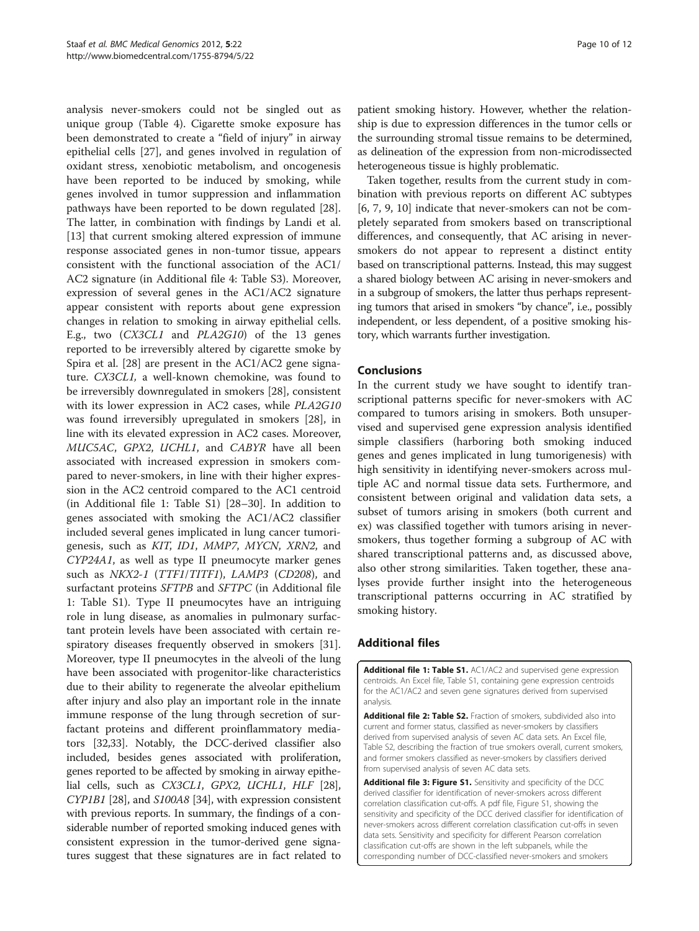<span id="page-9-0"></span>analysis never-smokers could not be singled out as unique group (Table [4\)](#page-8-0). Cigarette smoke exposure has been demonstrated to create a "field of injury" in airway epithelial cells [[27](#page-11-0)], and genes involved in regulation of oxidant stress, xenobiotic metabolism, and oncogenesis have been reported to be induced by smoking, while genes involved in tumor suppression and inflammation pathways have been reported to be down regulated [\[28](#page-11-0)]. The latter, in combination with findings by Landi et al. [[13\]](#page-10-0) that current smoking altered expression of immune response associated genes in non-tumor tissue, appears consistent with the functional association of the AC1/ AC2 signature (in [Additional file 4: Table S3\)](#page-10-0). Moreover, expression of several genes in the AC1/AC2 signature appear consistent with reports about gene expression changes in relation to smoking in airway epithelial cells. E.g., two (CX3CL1 and PLA2G10) of the 13 genes reported to be irreversibly altered by cigarette smoke by Spira et al. [\[28](#page-11-0)] are present in the AC1/AC2 gene signature. CX3CL1, a well-known chemokine, was found to be irreversibly downregulated in smokers [\[28](#page-11-0)], consistent with its lower expression in AC2 cases, while *PLA2G10* was found irreversibly upregulated in smokers [[28\]](#page-11-0), in line with its elevated expression in AC2 cases. Moreover, MUC5AC, GPX2, UCHL1, and CABYR have all been associated with increased expression in smokers compared to never-smokers, in line with their higher expression in the AC2 centroid compared to the AC1 centroid (in Additional file 1: Table S1) [[28](#page-11-0)–[30](#page-11-0)]. In addition to genes associated with smoking the AC1/AC2 classifier included several genes implicated in lung cancer tumorigenesis, such as KIT, ID1, MMP7, MYCN, XRN2, and CYP24A1, as well as type II pneumocyte marker genes such as NKX2-1 (TTF1/TITF1), LAMP3 (CD208), and surfactant proteins SFTPB and SFTPC (in Additional file 1: Table S1). Type II pneumocytes have an intriguing role in lung disease, as anomalies in pulmonary surfactant protein levels have been associated with certain respiratory diseases frequently observed in smokers [\[31](#page-11-0)]. Moreover, type II pneumocytes in the alveoli of the lung have been associated with progenitor-like characteristics due to their ability to regenerate the alveolar epithelium after injury and also play an important role in the innate immune response of the lung through secretion of surfactant proteins and different proinflammatory mediators [\[32,33\]](#page-11-0). Notably, the DCC-derived classifier also included, besides genes associated with proliferation, genes reported to be affected by smoking in airway epithelial cells, such as CX3CL1, GPX2, UCHL1, HLF [[28](#page-11-0)], CYP1B1 [[28](#page-11-0)], and S100A8 [\[34\]](#page-11-0), with expression consistent with previous reports. In summary, the findings of a considerable number of reported smoking induced genes with consistent expression in the tumor-derived gene signatures suggest that these signatures are in fact related to

patient smoking history. However, whether the relationship is due to expression differences in the tumor cells or the surrounding stromal tissue remains to be determined, as delineation of the expression from non-microdissected heterogeneous tissue is highly problematic.

Taken together, results from the current study in combination with previous reports on different AC subtypes [[6, 7, 9, 10\]](#page-10-0) indicate that never-smokers can not be completely separated from smokers based on transcriptional differences, and consequently, that AC arising in neversmokers do not appear to represent a distinct entity based on transcriptional patterns. Instead, this may suggest a shared biology between AC arising in never-smokers and in a subgroup of smokers, the latter thus perhaps representing tumors that arised in smokers "by chance", i.e., possibly independent, or less dependent, of a positive smoking history, which warrants further investigation.

#### Conclusions

In the current study we have sought to identify transcriptional patterns specific for never-smokers with AC compared to tumors arising in smokers. Both unsupervised and supervised gene expression analysis identified simple classifiers (harboring both smoking induced genes and genes implicated in lung tumorigenesis) with high sensitivity in identifying never-smokers across multiple AC and normal tissue data sets. Furthermore, and consistent between original and validation data sets, a subset of tumors arising in smokers (both current and ex) was classified together with tumors arising in neversmokers, thus together forming a subgroup of AC with shared transcriptional patterns and, as discussed above, also other strong similarities. Taken together, these analyses provide further insight into the heterogeneous transcriptional patterns occurring in AC stratified by smoking history.

## Additional files

[Additional file 1](http://www.biomedcentral.com/content/supplementary/1755-8794-5-22-S1.xls): Table S1. AC1/AC2 and supervised gene expression centroids. An Excel file, Table S1, containing gene expression centroids for the AC1/AC2 and seven gene signatures derived from supervised analysis.

[Additional file 2](http://www.biomedcentral.com/content/supplementary/1755-8794-5-22-S2.xls): Table S2. Fraction of smokers, subdivided also into current and former status, classified as never-smokers by classifiers derived from supervised analysis of seven AC data sets. An Excel file, Table S2, describing the fraction of true smokers overall, current smokers, and former smokers classified as never-smokers by classifiers derived from supervised analysis of seven AC data sets.

[Additional file 3](http://www.biomedcentral.com/content/supplementary/1755-8794-5-22-S3.pdf): Figure S1. Sensitivity and specificity of the DCC derived classifier for identification of never-smokers across different correlation classification cut-offs. A pdf file, Figure S1, showing the sensitivity and specificity of the DCC derived classifier for identification of never-smokers across different correlation classification cut-offs in seven data sets. Sensitivity and specificity for different Pearson correlation classification cut-offs are shown in the left subpanels, while the corresponding number of DCC-classified never-smokers and smokers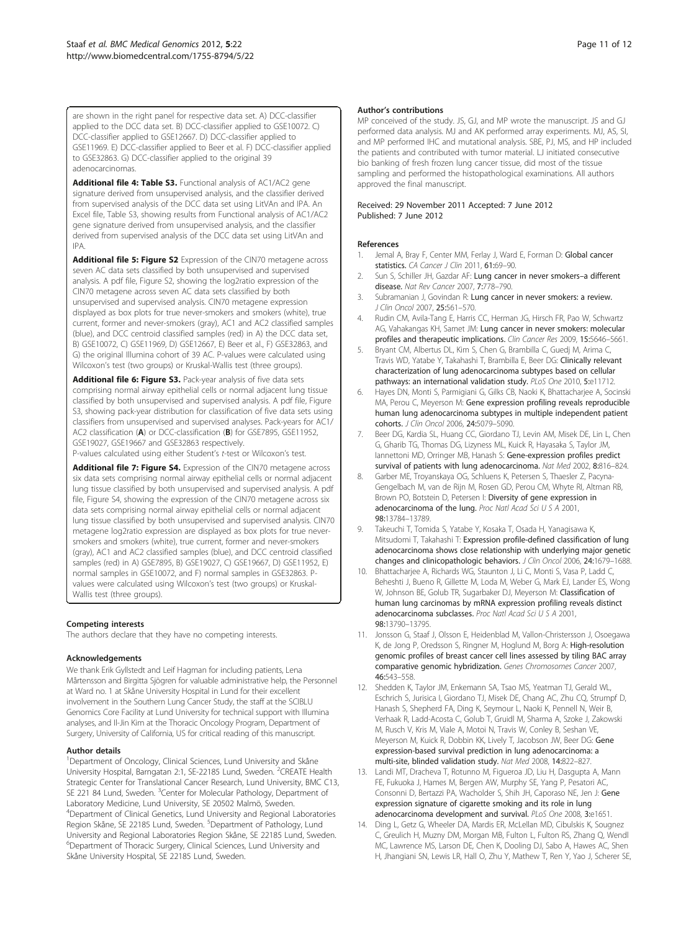<span id="page-10-0"></span>are shown in the right panel for respective data set. A) DCC-classifier applied to the DCC data set. B) DCC-classifier applied to GSE10072. C) DCC-classifier applied to GSE12667. D) DCC-classifier applied to GSE11969. E) DCC-classifier applied to Beer et al. F) DCC-classifier applied to GSE32863. G) DCC-classifier applied to the original 39 adenocarcinomas.

[Additional file 4](http://www.biomedcentral.com/content/supplementary/1755-8794-5-22-S4.xls): Table S3. Functional analysis of AC1/AC2 gene signature derived from unsupervised analysis, and the classifier derived from supervised analysis of the DCC data set using LitVAn and IPA. An Excel file, Table S3, showing results from Functional analysis of AC1/AC2 gene signature derived from unsupervised analysis, and the classifier derived from supervised analysis of the DCC data set using LitVAn and IPA.

[Additional file 5](http://www.biomedcentral.com/content/supplementary/1755-8794-5-22-S5.pdf): Figure S2 Expression of the CIN70 metagene across seven AC data sets classified by both unsupervised and supervised analysis. A pdf file, Figure S2, showing the log2ratio expression of the CIN70 metagene across seven AC data sets classified by both unsupervised and supervised analysis. CIN70 metagene expression displayed as box plots for true never-smokers and smokers (white), true current, former and never-smokers (gray), AC1 and AC2 classified samples (blue), and DCC centroid classified samples (red) in A) the DCC data set, B) GSE10072, C) GSE11969, D) GSE12667, E) Beer et al., F) GSE32863, and G) the original Illumina cohort of 39 AC. P-values were calculated using Wilcoxon's test (two groups) or Kruskal-Wallis test (three groups).

[Additional file 6](http://www.biomedcentral.com/content/supplementary/1755-8794-5-22-S6.pdf): Figure S3. Pack-year analysis of five data sets comprising normal airway epithelial cells or normal adjacent lung tissue classified by both unsupervised and supervised analysis. A pdf file, Figure S3, showing pack-year distribution for classification of five data sets using classifiers from unsupervised and supervised analyses. Pack-years for AC1/ AC2 classification (A) or DCC-classification (B) for GSE7895, GSE11952, GSE19027, GSE19667 and GSE32863 respectively.

P-values calculated using either Student's t-test or Wilcoxon's test.

[Additional file 7](http://www.biomedcentral.com/content/supplementary/1755-8794-5-22-S7.pdf): Figure S4. Expression of the CIN70 metagene across six data sets comprising normal airway epithelial cells or normal adjacent lung tissue classified by both unsupervised and supervised analysis. A pdf file, Figure S4, showing the expression of the CIN70 metagene across six data sets comprising normal airway epithelial cells or normal adjacent lung tissue classified by both unsupervised and supervised analysis. CIN70 metagene log2ratio expression are displayed as box plots for true neversmokers and smokers (white), true current, former and never-smokers (gray), AC1 and AC2 classified samples (blue), and DCC centroid classified samples (red) in A) GSE7895, B) GSE19027, C) GSE19667, D) GSE11952, E) normal samples in GSE10072, and F) normal samples in GSE32863. Pvalues were calculated using Wilcoxon's test (two groups) or Kruskal-Wallis test (three groups).

#### Competing interests

The authors declare that they have no competing interests.

#### Acknowledgements

We thank Erik Gyllstedt and Leif Hagman for including patients, Lena Mårtensson and Birgitta Sjögren for valuable administrative help, the Personnel at Ward no. 1 at Skåne University Hospital in Lund for their excellent involvement in the Southern Lung Cancer Study, the staff at the SCIBLU Genomics Core Facility at Lund University for technical support with Illumina analyses, and Il-Jin Kim at the Thoracic Oncology Program, Department of Surgery, University of California, US for critical reading of this manuscript.

#### Author details

<sup>1</sup>Department of Oncology, Clinical Sciences, Lund University and Skåne University Hospital, Barngatan 2:1, SE-22185 Lund, Sweden. <sup>2</sup>CREATE Health Strategic Center for Translational Cancer Research, Lund University, BMC C13, SE 221 84 Lund, Sweden. <sup>3</sup>Center for Molecular Pathology, Department of Laboratory Medicine, Lund University, SE 20502 Malmö, Sweden. 4 Department of Clinical Genetics, Lund University and Regional Laboratories Region Skåne, SE 22185 Lund, Sweden. <sup>5</sup>Department of Pathology, Lund University and Regional Laboratories Region Skåne, SE 22185 Lund, Sweden. 6 Department of Thoracic Surgery, Clinical Sciences, Lund University and Skåne University Hospital, SE 22185 Lund, Sweden.

#### Author's contributions

MP conceived of the study. JS, GJ, and MP wrote the manuscript. JS and GJ performed data analysis. MJ and AK performed array experiments. MJ, AS, SI, and MP performed IHC and mutational analysis. SBE, PJ, MS, and HP included the patients and contributed with tumor material. LJ initiated consecutive bio banking of fresh frozen lung cancer tissue, did most of the tissue sampling and performed the histopathological examinations. All authors approved the final manuscript.

#### Received: 29 November 2011 Accepted: 7 June 2012 Published: 7 June 2012

#### References

- 1. Jemal A, Bray F, Center MM, Ferlay J, Ward E, Forman D: Global cancer statistics. CA Cancer J Clin 2011, 61:69-90.
- 2. Sun S, Schiller JH, Gazdar AF: Lung cancer in never smokers-a different disease. Nat Rev Cancer 2007, 7:778–790.
- 3. Subramanian J, Govindan R: Lung cancer in never smokers: a review. J Clin Oncol 2007, 25:561–570.
- 4. Rudin CM, Avila-Tang E, Harris CC, Herman JG, Hirsch FR, Pao W, Schwartz AG, Vahakangas KH, Samet JM: Lung cancer in never smokers: molecular profiles and therapeutic implications. Clin Cancer Res 2009, 15:5646–5661.
- 5. Bryant CM, Albertus DL, Kim S, Chen G, Brambilla C, Guedj M, Arima C, Travis WD, Yatabe Y, Takahashi T, Brambilla E, Beer DG: Clinically relevant characterization of lung adenocarcinoma subtypes based on cellular pathways: an international validation study. PLoS One 2010, 5:e11712.
- 6. Hayes DN, Monti S, Parmigiani G, Gilks CB, Naoki K, Bhattacharjee A, Socinski MA, Perou C, Meyerson M: Gene expression profiling reveals reproducible human lung adenocarcinoma subtypes in multiple independent patient cohorts. J Clin Oncol 2006, 24:5079–5090.
- 7. Beer DG, Kardia SL, Huang CC, Giordano TJ, Levin AM, Misek DE, Lin L, Chen G, Gharib TG, Thomas DG, Lizyness ML, Kuick R, Hayasaka S, Taylor JM, Iannettoni MD, Orringer MB, Hanash S: Gene-expression profiles predict survival of patients with lung adenocarcinoma. Nat Med 2002, 8:816–824.
- Garber ME, Troyanskaya OG, Schluens K, Petersen S, Thaesler Z, Pacyna-Gengelbach M, van de Rijn M, Rosen GD, Perou CM, Whyte RI, Altman RB, Brown PO, Botstein D, Petersen I: Diversity of gene expression in adenocarcinoma of the lung. Proc Natl Acad Sci U S A 2001, 98:13784–13789.
- 9. Takeuchi T, Tomida S, Yatabe Y, Kosaka T, Osada H, Yanagisawa K, Mitsudomi T, Takahashi T: Expression profile-defined classification of lung adenocarcinoma shows close relationship with underlying major genetic changes and clinicopathologic behaviors. J Clin Oncol 2006, 24:1679-1688.
- 10. Bhattacharjee A, Richards WG, Staunton J, Li C, Monti S, Vasa P, Ladd C, Beheshti J, Bueno R, Gillette M, Loda M, Weber G, Mark EJ, Lander ES, Wong W, Johnson BE, Golub TR, Sugarbaker DJ, Meyerson M: Classification of human lung carcinomas by mRNA expression profiling reveals distinct adenocarcinoma subclasses. Proc Natl Acad Sci U S A 2001, 98:13790–13795.
- 11. Jonsson G, Staaf J, Olsson E, Heidenblad M, Vallon-Christersson J, Osoegawa K, de Jong P, Oredsson S, Ringner M, Hoglund M, Borg A: High-resolution genomic profiles of breast cancer cell lines assessed by tiling BAC array comparative genomic hybridization. Genes Chromosomes Cancer 2007, 46:543–558.
- 12. Shedden K, Taylor JM, Enkemann SA, Tsao MS, Yeatman TJ, Gerald WL, Eschrich S, Jurisica I, Giordano TJ, Misek DE, Chang AC, Zhu CQ, Strumpf D, Hanash S, Shepherd FA, Ding K, Seymour L, Naoki K, Pennell N, Weir B, Verhaak R, Ladd-Acosta C, Golub T, Gruidl M, Sharma A, Szoke J, Zakowski M, Rusch V, Kris M, Viale A, Motoi N, Travis W, Conley B, Seshan VE, Meyerson M, Kuick R, Dobbin KK, Lively T, Jacobson JW, Beer DG: Gene expression-based survival prediction in lung adenocarcinoma: a multi-site, blinded validation study. Nat Med 2008, 14:822–827.
- 13. Landi MT, Dracheva T, Rotunno M, Figueroa JD, Liu H, Dasgupta A, Mann FE, Fukuoka J, Hames M, Bergen AW, Murphy SE, Yang P, Pesatori AC, Consonni D, Bertazzi PA, Wacholder S, Shih JH, Caporaso NE, Jen J: Gene expression signature of cigarette smoking and its role in lung adenocarcinoma development and survival. PLoS One 2008, 3:e1651.
- 14. Ding L, Getz G, Wheeler DA, Mardis ER, McLellan MD, Cibulskis K, Sougnez C, Greulich H, Muzny DM, Morgan MB, Fulton L, Fulton RS, Zhang Q, Wendl MC, Lawrence MS, Larson DE, Chen K, Dooling DJ, Sabo A, Hawes AC, Shen H, Jhangiani SN, Lewis LR, Hall O, Zhu Y, Mathew T, Ren Y, Yao J, Scherer SE,